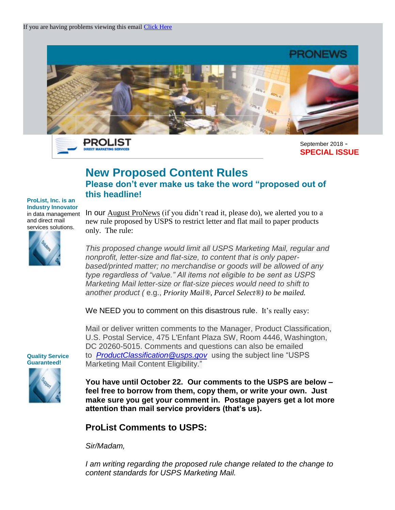

PROLIST **DIRECT MARKETING SER** 

September 2018 - **SPECIAL ISSUE**

## **New Proposed Content Rules**

**Please don't ever make us take the word "proposed out of this headline!**

**ProList, Inc. is an Industry Innovator** in data management and direct mail services solutions.

In our August ProNews (if you didn't read it, please do), we alerted you to a new rule proposed by USPS to restrict letter and flat mail to paper products only. The rule:

*This proposed change would limit all USPS Marketing Mail, regular and nonprofit, letter-size and flat-size, to content that is only paperbased/printed matter; no merchandise or goods will be allowed of any type regardless of "value." All items not eligible to be sent as USPS Marketing Mail letter-size or flat-size pieces would need to shift to another product (* e.g., *Priority Mail®, Parcel Select®) to be mailed.*

We NEED you to comment on this disastrous rule. It's really easy:

Mail or deliver written comments to the Manager, Product Classification, U.S. Postal Service, 475 L'Enfant Plaza SW, Room 4446, Washington, DC 20260-5015. Comments and questions can also be emailed to *[ProductClassification@usps.gov](mailto:ProductClassification@usps.gov?subject=USPS%20Marketing%20Mail%20Content%20Eligibility)* using the subject line "USPS Marketing Mail Content Eligibility."

**You have until October 22. Our comments to the USPS are below – feel free to borrow from them, copy them, or write your own. Just make sure you get your comment in. Postage payers get a lot more attention than mail service providers (that's us).**

## **ProList Comments to USPS:**

*Sir/Madam,*

*I am writing regarding the proposed rule change related to the change to content standards for USPS Marketing Mail.*

**Quality Service Guaranteed!** 

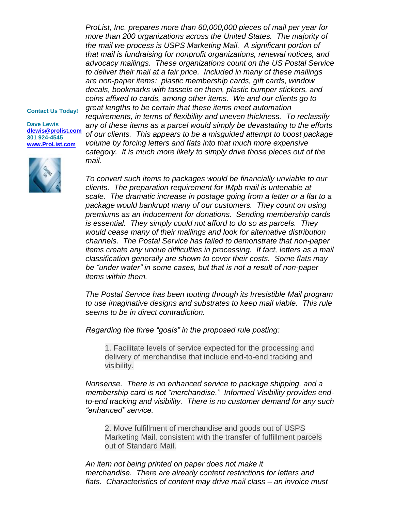*ProList, Inc. prepares more than 60,000,000 pieces of mail per year for more than 200 organizations across the United States. The majority of the mail we process is USPS Marketing Mail. A significant portion of that mail is fundraising for nonprofit organizations, renewal notices, and advocacy mailings. These organizations count on the US Postal Service to deliver their mail at a fair price. Included in many of these mailings are non-paper items: plastic membership cards, gift cards, window decals, bookmarks with tassels on them, plastic bumper stickers, and coins affixed to cards, among other items. We and our clients go to great lengths to be certain that these items meet automation* 

## **Contact Us Today!**

**Dave Lewis [dlewis@prolist.com](mailto:dlewis@prolist.com) 301 924-4545 [www.ProList.com](http://trk.publicaster.com/click/c2f1-ujoiw-gvrhvt-73hxzcz6/)**



*requirements, in terms of flexibility and uneven thickness. To reclassify any of these items as a parcel would simply be devastating to the efforts of our clients. This appears to be a misguided attempt to boost package volume by forcing letters and flats into that much more expensive category. It is much more likely to simply drive those pieces out of the mail.*

*To convert such items to packages would be financially unviable to our clients. The preparation requirement for IMpb mail is untenable at scale. The dramatic increase in postage going from a letter or a flat to a package would bankrupt many of our customers. They count on using premiums as an inducement for donations. Sending membership cards is essential. They simply could not afford to do so as parcels. They would cease many of their mailings and look for alternative distribution channels. The Postal Service has failed to demonstrate that non-paper items create any undue difficulties in processing. If fact, letters as a mail classification generally are shown to cover their costs. Some flats may be "under water" in some cases, but that is not a result of non-paper items within them.*

*The Postal Service has been touting through its Irresistible Mail program to use imaginative designs and substrates to keep mail viable. This rule seems to be in direct contradiction.*

*Regarding the three "goals" in the proposed rule posting:*

1. Facilitate levels of service expected for the processing and delivery of merchandise that include end-to-end tracking and visibility.

*Nonsense. There is no enhanced service to package shipping, and a membership card is not "merchandise." Informed Visibility provides endto-end tracking and visibility. There is no customer demand for any such "enhanced" service.*

2. Move fulfillment of merchandise and goods out of USPS Marketing Mail, consistent with the transfer of fulfillment parcels out of Standard Mail.

*An item not being printed on paper does not make it merchandise. There are already content restrictions for letters and flats. Characteristics of content may drive mail class – an invoice must*